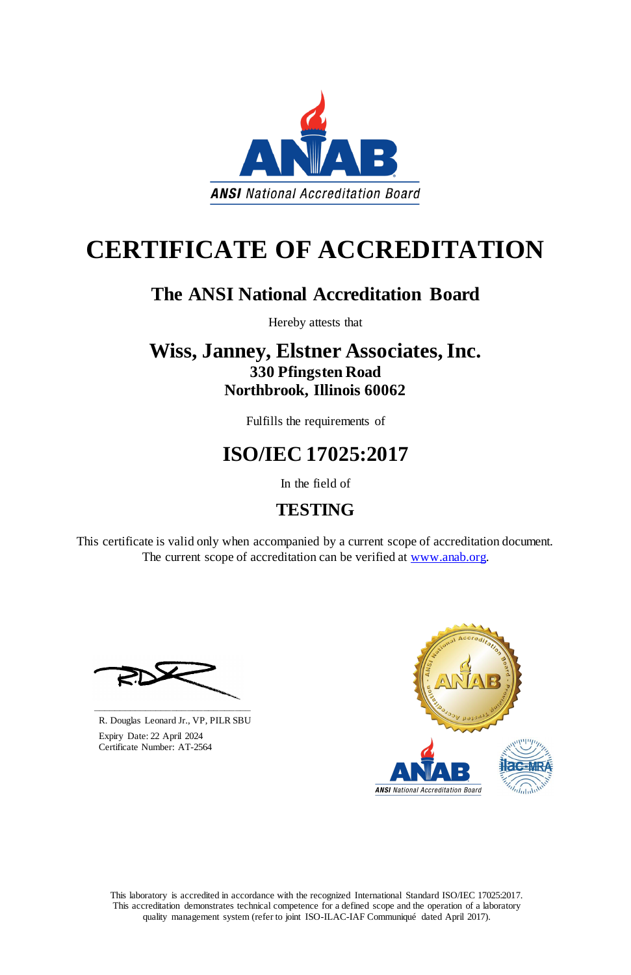This laboratory is accredited in accordance with the recognized International Standard ISO/IEC 17025:2017. This accreditation demonstrates technical competence for a defined scope and the operation of a laboratory quality management system (refer to joint ISO-ILAC-IAF Communiqué dated April 2017).

This certificate is valid only when accompanied by a current scope of accreditation document. The current scope of accreditation can be verified at [www.anab.org.](http://www.anab.org/)



# **CERTIFICATE OF ACCREDITATION**

# **The ANSI National Accreditation Board**

Hereby attests that

# **Wiss, Janney, Elstner Associates, Inc. 330 Pfingsten Road Northbrook, Illinois 60062**

Fulfills the requirements of

# **ISO/IEC 17025:2017**

In the field of

# **TESTING**





R. Douglas Leonard Jr., VP, PILR SBU

 Expiry Date: 22 April 2024 Certificate Number: AT-2564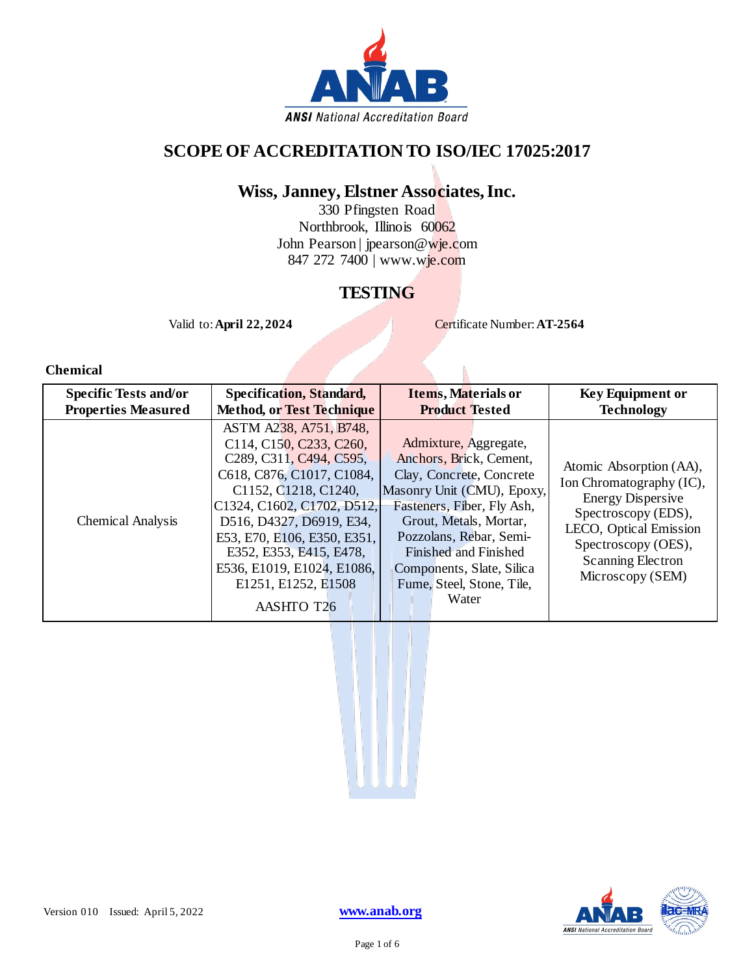

# **SCOPE OF ACCREDITATION TO ISO/IEC 17025:2017**

# **Wiss, Janney, Elstner Associates, Inc.**

330 Pfingsten Road Northbrook, Illinois 60062 John Pearson | jpearson@wje.com 847 272 7400 | www.wje.com

## **TESTING**

Valid to: **April 22, 2024** Certificate Number: **AT-2564** 

### **Chemical**

| <b>Specific Tests and/or</b> | <b>Specification, Standard,</b>                                                                                                                                                                                                                                                                                                                                              | <b>Items, Materials or</b>                                                                                                                                                                                                                                                                | <b>Key Equipment or</b>                                                                                                                                                                                 |
|------------------------------|------------------------------------------------------------------------------------------------------------------------------------------------------------------------------------------------------------------------------------------------------------------------------------------------------------------------------------------------------------------------------|-------------------------------------------------------------------------------------------------------------------------------------------------------------------------------------------------------------------------------------------------------------------------------------------|---------------------------------------------------------------------------------------------------------------------------------------------------------------------------------------------------------|
| <b>Properties Measured</b>   | <b>Method, or Test Technique</b>                                                                                                                                                                                                                                                                                                                                             | <b>Product Tested</b>                                                                                                                                                                                                                                                                     | <b>Technology</b>                                                                                                                                                                                       |
| <b>Chemical Analysis</b>     | ASTM A238, A751, B748,<br>C114, C150, C233, C260,<br>C <sub>2</sub> 89, C <sub>311</sub> , C <sub>494</sub> , C <sub>595</sub> ,<br>C618, C876, C1017, C1084,<br>C1152, C1218, C1240,<br>C1324, C1602, C1702, D512,<br>D516, D4327, D6919, E34,<br>E53, E70, E106, E350, E351,<br>E352, E353, E415, E478,<br>E536, E1019, E1024, E1086,<br>E1251, E1252, E1508<br>AASHTO T26 | Admixture, Aggregate,<br>Anchors, Brick, Cement,<br>Clay, Concrete, Concrete<br>Masonry Unit (CMU), Epoxy,<br>Fasteners, Fiber, Fly Ash,<br>Grout, Metals, Mortar,<br>Pozzolans, Rebar, Semi-<br>Finished and Finished<br>Components, Slate, Silica<br>Fume, Steel, Stone, Tile,<br>Water | Atomic Absorption (AA),<br>Ion Chromatography (IC),<br><b>Energy Dispersive</b><br>Spectroscopy (EDS),<br>LECO, Optical Emission<br>Spectroscopy (OES),<br><b>Scanning Electron</b><br>Microscopy (SEM) |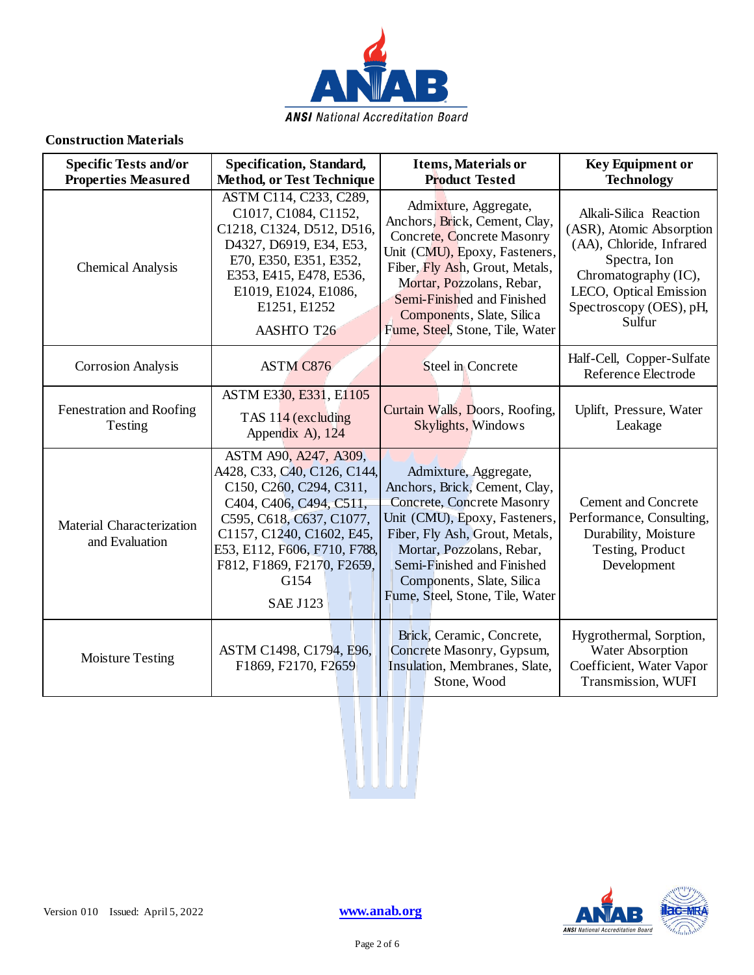

### **Construction Materials**

| <b>Specific Tests and/or</b><br><b>Properties Measured</b> | <b>Specification, Standard,</b><br><b>Method, or Test Technique</b>                                                                                                                                                                                          | <b>Items, Materials or</b><br><b>Product Tested</b>                                                                                                                                                                                                                                       | <b>Key Equipment or</b><br><b>Technology</b>                                                                                                                                          |
|------------------------------------------------------------|--------------------------------------------------------------------------------------------------------------------------------------------------------------------------------------------------------------------------------------------------------------|-------------------------------------------------------------------------------------------------------------------------------------------------------------------------------------------------------------------------------------------------------------------------------------------|---------------------------------------------------------------------------------------------------------------------------------------------------------------------------------------|
| Chemical Analysis                                          | ASTM C114, C233, C289,<br>C1017, C1084, C1152,<br>C1218, C1324, D512, D516,<br>D4327, D6919, E34, E53,<br>E70, E350, E351, E352,<br>E353, E415, E478, E536,<br>E1019, E1024, E1086,<br>E1251, E1252<br>AASHTO T26                                            | Admixture, Aggregate,<br>Anchors, Brick, Cement, Clay,<br>Concrete, Concrete Masonry<br>Unit (CMU), Epoxy, Fasteners,<br>Fiber, Fly Ash, Grout, Metals,<br>Mortar, Pozzolans, Rebar,<br>Semi-Finished and Finished<br>Components, Slate, Silica<br>Fume, Steel, Stone, Tile, Water        | Alkali-Silica Reaction<br>(ASR), Atomic Absorption<br>(AA), Chloride, Infrared<br>Spectra, Ion<br>Chromatography (IC),<br>LECO, Optical Emission<br>Spectroscopy (OES), pH,<br>Sulfur |
| <b>Corrosion Analysis</b>                                  | <b>ASTM C876</b>                                                                                                                                                                                                                                             | Steel in Concrete                                                                                                                                                                                                                                                                         | Half-Cell, Copper-Sulfate<br>Reference Electrode                                                                                                                                      |
| Fenestration and Roofing<br>Testing                        | ASTM E330, E331, E1105<br>TAS 114 (excluding<br>Appendix A), 124                                                                                                                                                                                             | Curtain Walls, Doors, Roofing,<br>Skylights, Windows                                                                                                                                                                                                                                      | Uplift, Pressure, Water<br>Leakage                                                                                                                                                    |
| Material Characterization<br>and Evaluation                | ASTM A90, A247, A309,<br>A428, C33, C40, C126, C144,<br>C150, C260, C294, C311,<br>C404, C406, C494, C511,<br>C595, C618, C637, C1077,<br>C1157, C1240, C1602, E45,<br>E53, E112, F606, F710, F788,<br>F812, F1869, F2170, F2659,<br>G154<br><b>SAE J123</b> | Admixture, Aggregate,<br>Anchors, Brick, Cement, Clay,<br><b>Concrete, Concrete Masonry</b><br>Unit (CMU), Epoxy, Fasteners,<br>Fiber, Fly Ash, Grout, Metals,<br>Mortar, Pozzolans, Rebar,<br>Semi-Finished and Finished<br>Components, Slate, Silica<br>Fume, Steel, Stone, Tile, Water | <b>Cement and Concrete</b><br>Performance, Consulting,<br>Durability, Moisture<br>Testing, Product<br>Development                                                                     |
| <b>Moisture Testing</b>                                    | ASTM C1498, C1794, E96,<br>F1869, F2170, F2659                                                                                                                                                                                                               | Brick, Ceramic, Concrete,<br>Concrete Masonry, Gypsum,<br>Insulation, Membranes, Slate,<br>Stone, Wood                                                                                                                                                                                    | Hygrothermal, Sorption,<br>Water Absorption<br>Coefficient, Water Vapor<br>Transmission, WUFI                                                                                         |

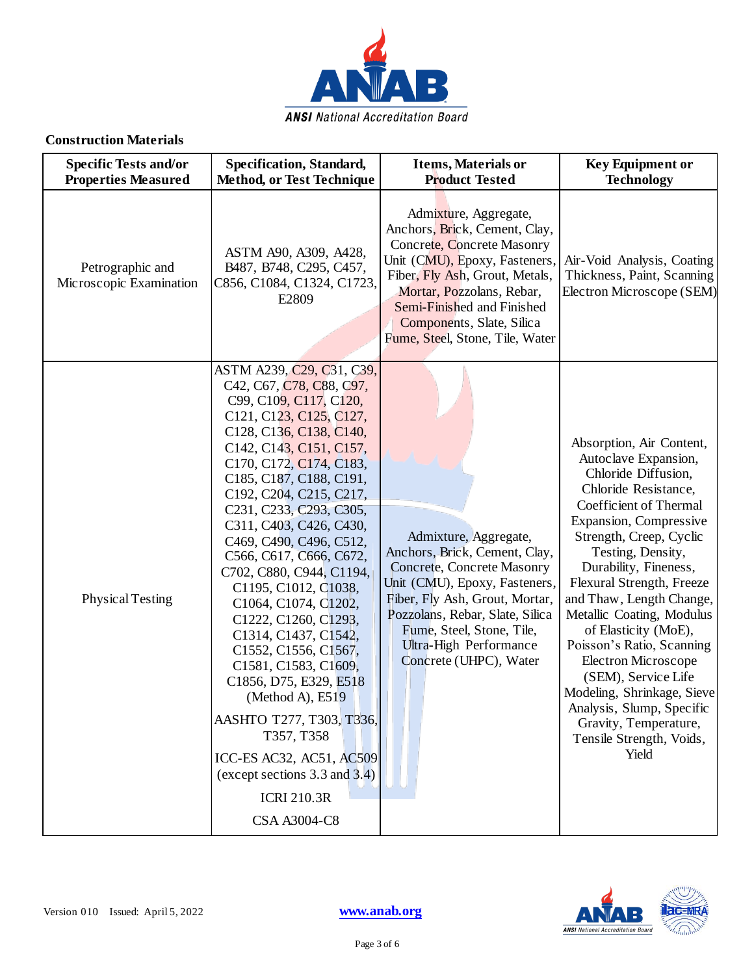

### **Construction Materials**

| <b>Specific Tests and/or</b><br><b>Properties Measured</b> | Specification, Standard,<br><b>Method, or Test Technique</b>                                                                                                                                                                                                                                                                                                                                                                                                                                                                                                                                                                                                                                                                                                                                                                                                                               | <b>Items, Materials or</b><br><b>Product Tested</b>                                                                                                                                                                                                                                | <b>Key Equipment or</b><br><b>Technology</b>                                                                                                                                                                                                                                                                                                                                                                                                                                                                                                          |
|------------------------------------------------------------|--------------------------------------------------------------------------------------------------------------------------------------------------------------------------------------------------------------------------------------------------------------------------------------------------------------------------------------------------------------------------------------------------------------------------------------------------------------------------------------------------------------------------------------------------------------------------------------------------------------------------------------------------------------------------------------------------------------------------------------------------------------------------------------------------------------------------------------------------------------------------------------------|------------------------------------------------------------------------------------------------------------------------------------------------------------------------------------------------------------------------------------------------------------------------------------|-------------------------------------------------------------------------------------------------------------------------------------------------------------------------------------------------------------------------------------------------------------------------------------------------------------------------------------------------------------------------------------------------------------------------------------------------------------------------------------------------------------------------------------------------------|
| Petrographic and<br>Microscopic Examination                | ASTM A90, A309, A428,<br>B487, B748, C295, C457,<br>C856, C1084, C1324, C1723,<br>E2809                                                                                                                                                                                                                                                                                                                                                                                                                                                                                                                                                                                                                                                                                                                                                                                                    | Admixture, Aggregate,<br>Anchors, Brick, Cement, Clay,<br>Concrete, Concrete Masonry<br>Unit (CMU), Epoxy, Fasteners,<br>Fiber, Fly Ash, Grout, Metals,<br>Mortar, Pozzolans, Rebar,<br>Semi-Finished and Finished<br>Components, Slate, Silica<br>Fume, Steel, Stone, Tile, Water | Air-Void Analysis, Coating<br>Thickness, Paint, Scanning<br>Electron Microscope (SEM)                                                                                                                                                                                                                                                                                                                                                                                                                                                                 |
| Physical Testing                                           | ASTM A239, C <sub>29</sub> , C <sub>31</sub> , C <sub>39</sub> ,<br>C42, C67, C78, C88, C97,<br>C99, C109, C117, C120,<br>C121, C123, C125, C127,<br>C128, C136, C138, C140,<br>C142, C143, C151, C157,<br>C <sub>170</sub> , C <sub>172</sub> , C <sub>174</sub> , C <sub>183</sub> ,<br>C185, C187, C188, C191,<br>C192, C204, C215, C217,<br>C <sub>231</sub> , C <sub>233</sub> , C <sub>293</sub> , C <sub>305</sub> ,<br>C311, C403, C426, C430,<br>C469, C490, C496, C512,<br>C566, C617, C666, C672,<br>C702, C880, C944, C1194,<br>C1195, C1012, C1038,<br>C1064, C1074, C1202,<br>C1222, C1260, C1293,<br>C1314, C1437, C1542,<br>C1552, C1556, C1567,<br>C1581, C1583, C1609,<br>C1856, D75, E329, E518<br>(Method A), E519<br>AASHTO T277, T303, T336,<br>T357, T358<br>ICC-ES AC32, AC51, AC509<br>(except sections 3.3 and 3.4)<br><b>ICRI 210.3R</b><br><b>CSA A3004-C8</b> | Admixture, Aggregate,<br>Anchors, Brick, Cement, Clay,<br>Concrete, Concrete Masonry<br>Unit (CMU), Epoxy, Fasteners,<br>Fiber, Fly Ash, Grout, Mortar,<br>Pozzolans, Rebar, Slate, Silica<br>Fume, Steel, Stone, Tile,<br>Ultra-High Performance<br>Concrete (UHPC), Water        | Absorption, Air Content,<br>Autoclave Expansion,<br>Chloride Diffusion,<br>Chloride Resistance,<br>Coefficient of Thermal<br>Expansion, Compressive<br>Strength, Creep, Cyclic<br>Testing, Density,<br>Durability, Fineness,<br>Flexural Strength, Freeze<br>and Thaw, Length Change,<br>Metallic Coating, Modulus<br>of Elasticity (MoE),<br>Poisson's Ratio, Scanning<br><b>Electron Microscope</b><br>(SEM), Service Life<br>Modeling, Shrinkage, Sieve<br>Analysis, Slump, Specific<br>Gravity, Temperature,<br>Tensile Strength, Voids,<br>Yield |

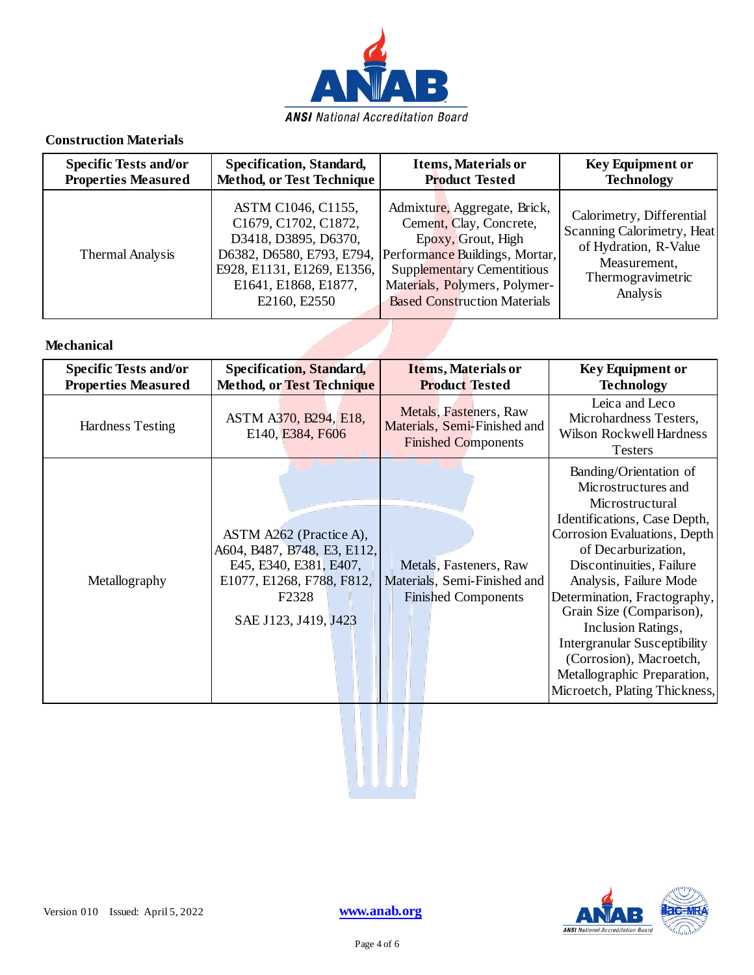

#### **Construction Materials**

| <b>Specific Tests and/or</b> | Specification, Standard,                                                                                                                                              | <b>Items, Materials or</b>                                                                                                                                                                                                   | <b>Key Equipment or</b>                                                                                                           |
|------------------------------|-----------------------------------------------------------------------------------------------------------------------------------------------------------------------|------------------------------------------------------------------------------------------------------------------------------------------------------------------------------------------------------------------------------|-----------------------------------------------------------------------------------------------------------------------------------|
| <b>Properties Measured</b>   | <b>Method, or Test Technique</b>                                                                                                                                      | <b>Product Tested</b>                                                                                                                                                                                                        | <b>Technology</b>                                                                                                                 |
| Thermal Analysis             | ASTM C1046, C1155,<br>C1679, C1702, C1872,<br>D3418, D3895, D6370,<br>D6382, D6580, E793, E794,<br>E928, E1131, E1269, E1356,<br>E1641, E1868, E1877,<br>E2160, E2550 | Admixture, Aggregate, Brick,<br>Cement, Clay, Concrete,<br>Epoxy, Grout, High<br>Performance Buildings, Mortar,<br><b>Supplementary Cementitious</b><br>Materials, Polymers, Polymer-<br><b>Based Construction Materials</b> | Calorimetry, Differential<br>Scanning Calorimetry, Heat<br>of Hydration, R-Value<br>Measurement,<br>Thermogravimetric<br>Analysis |

#### **Mechanical**

| <b>Specific Tests and/or</b><br><b>Properties Measured</b> | Specification, Standard,<br><b>Method, or Test Technique</b>                                                                                                | <b>Items, Materials or</b><br><b>Product Tested</b>                                  | <b>Key Equipment or</b><br><b>Technology</b>                                                                                                                                                                                                                                                                                                                                                                                      |
|------------------------------------------------------------|-------------------------------------------------------------------------------------------------------------------------------------------------------------|--------------------------------------------------------------------------------------|-----------------------------------------------------------------------------------------------------------------------------------------------------------------------------------------------------------------------------------------------------------------------------------------------------------------------------------------------------------------------------------------------------------------------------------|
| Hardness Testing                                           | ASTM A370, B294, E18,<br>E140, E384, F606                                                                                                                   | Metals, Fasteners, Raw<br>Materials, Semi-Finished and<br><b>Finished Components</b> | Leica and Leco<br>Microhardness Testers,<br>Wilson Rockwell Hardness<br><b>Testers</b>                                                                                                                                                                                                                                                                                                                                            |
| Metallography                                              | ASTM A262 (Practice A),<br>A604, B487, B748, E3, E112,<br>E45, E340, E381, E407,<br>E1077, E1268, F788, F812,<br>F <sub>2</sub> 328<br>SAE J123, J419, J423 | Metals, Fasteners, Raw<br>Materials, Semi-Finished and<br><b>Finished Components</b> | Banding/Orientation of<br>Microstructures and<br>Microstructural<br>Identifications, Case Depth,<br>Corrosion Evaluations, Depth<br>of Decarburization,<br>Discontinuities, Failure<br>Analysis, Failure Mode<br>Determination, Fractography,<br>Grain Size (Comparison),<br>Inclusion Ratings,<br><b>Intergranular Susceptibility</b><br>(Corrosion), Macroetch,<br>Metallographic Preparation,<br>Microetch, Plating Thickness, |

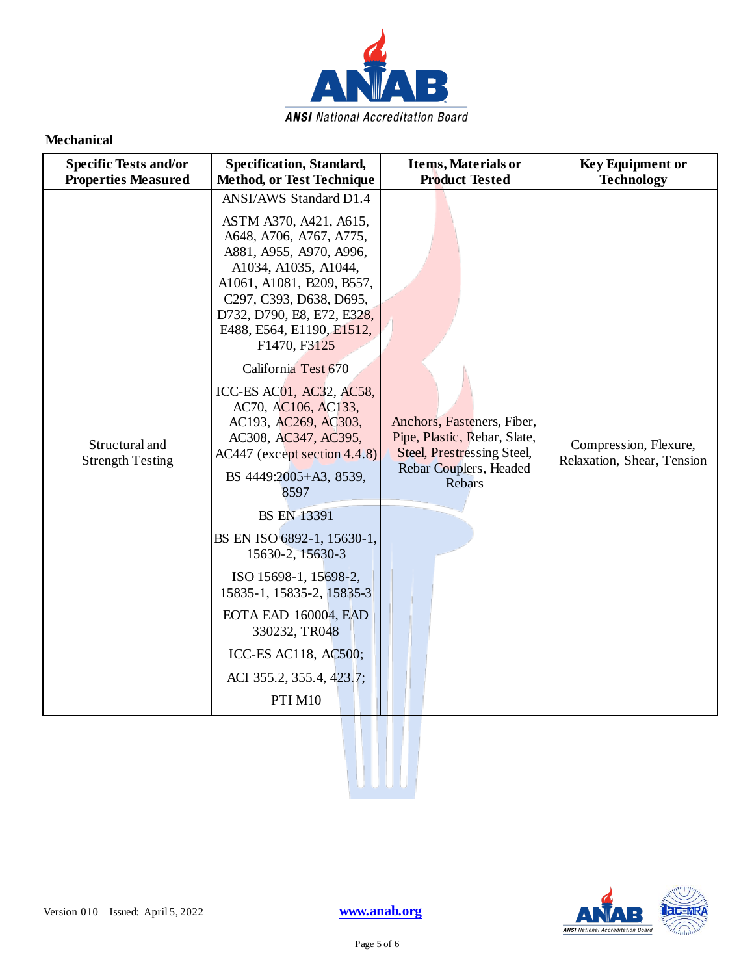

#### **Mechanical**

| <b>Specific Tests and/or</b><br><b>Properties Measured</b> | Specification, Standard,<br><b>Method, or Test Technique</b>                                                                                                                                                                                                                                                                                                                                                                                                    | <b>Items, Materials or</b><br><b>Product Tested</b>                                                                          | <b>Key Equipment or</b><br><b>Technology</b>        |
|------------------------------------------------------------|-----------------------------------------------------------------------------------------------------------------------------------------------------------------------------------------------------------------------------------------------------------------------------------------------------------------------------------------------------------------------------------------------------------------------------------------------------------------|------------------------------------------------------------------------------------------------------------------------------|-----------------------------------------------------|
| Structural and<br><b>Strength Testing</b>                  | ANSI/AWS Standard D1.4<br>ASTM A370, A421, A615,<br>A648, A706, A767, A775,<br>A881, A955, A970, A996,<br>A1034, A1035, A1044,<br>A1061, A1081, B209, B557,<br>C297, C393, D638, D695,<br>D732, D790, E8, E72, E328,<br>E488, E564, E1190, E1512,<br>F1470, F3125<br>California Test 670<br>ICC-ES AC01, AC32, AC58,<br>AC70, AC106, AC133,<br>AC193, AC269, AC303,<br>AC308, AC347, AC395,<br>$AC447$ (except section 4.4.8)<br>BS 4449:2005+A3, 8539,<br>8597 | Anchors, Fasteners, Fiber,<br>Pipe, Plastic, Rebar, Slate,<br>Steel, Prestressing Steel,<br>Rebar Couplers, Headed<br>Rebars | Compression, Flexure,<br>Relaxation, Shear, Tension |
|                                                            | <b>BS EN 13391</b><br>BS EN ISO 6892-1, 15630-1,<br>15630-2, 15630-3<br>ISO 15698-1, 15698-2,<br>15835-1, 15835-2, 15835-3<br>EOTA EAD 160004, EAD<br>330232, TR048<br>ICC-ES AC118, AC500;<br>ACI 355.2, 355.4, 423.7;<br>PTI M10                                                                                                                                                                                                                              |                                                                                                                              |                                                     |